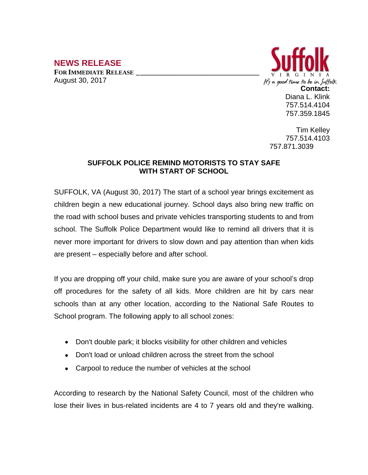## **NEWS RELEASE FOR IMMEDIATE RELEASE \_\_\_\_\_\_\_\_\_\_\_\_\_\_\_\_\_\_\_\_\_\_\_\_\_\_\_\_\_\_\_\_\_\_**

August 30, 2017



Tim Kelley 757.514.4103 757.871.3039

## **SUFFOLK POLICE REMIND MOTORISTS TO STAY SAFE WITH START OF SCHOOL**

SUFFOLK, VA (August 30, 2017) The start of a school year brings excitement as children begin a new educational journey. School days also bring new traffic on the road with school buses and private vehicles transporting students to and from school. The Suffolk Police Department would like to remind all drivers that it is never more important for drivers to slow down and pay attention than when kids are present – especially before and after school.

If you are dropping off your child, make sure you are aware of your school's drop off procedures for the safety of all kids. More children are hit by cars near schools than at any other location, according to the National Safe Routes to School program. The following apply to all school zones:

- Don't double park; it blocks visibility for other children and vehicles
- Don't load or unload children across the street from the school
- Carpool to reduce the number of vehicles at the school

According to research by the National Safety Council, most of the children who lose their lives in bus-related incidents are 4 to 7 years old and they're walking.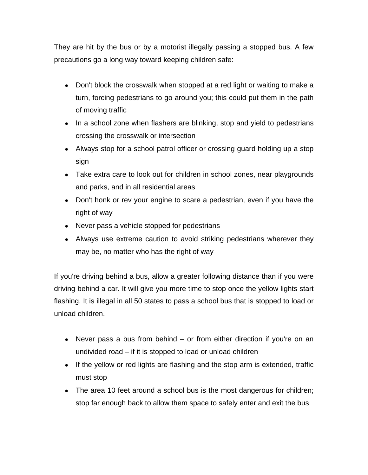They are hit by the bus or by a motorist illegally passing a stopped bus. A few precautions go a long way toward keeping children safe:

- Don't block the crosswalk when stopped at a red light or waiting to make a turn, forcing pedestrians to go around you; this could put them in the path of moving traffic
- In a school zone when flashers are blinking, stop and yield to pedestrians crossing the crosswalk or intersection
- Always stop for a school patrol officer or crossing guard holding up a stop sign
- Take extra care to look out for children in school zones, near playgrounds and parks, and in all residential areas
- Don't honk or rev your engine to scare a pedestrian, even if you have the right of way
- Never pass a vehicle stopped for pedestrians
- Always use extreme caution to avoid striking pedestrians wherever they may be, no matter who has the right of way

If you're driving behind a bus, allow a greater following distance than if you were driving behind a car. It will give you more time to stop once the yellow lights start flashing. It is illegal in all 50 states to pass a school bus that is stopped to load or unload children.

- Never pass a bus from behind or from either direction if you're on an undivided road – if it is stopped to load or unload children
- If the yellow or red lights are flashing and the stop arm is extended, traffic must stop
- The area 10 feet around a school bus is the most dangerous for children; stop far enough back to allow them space to safely enter and exit the bus